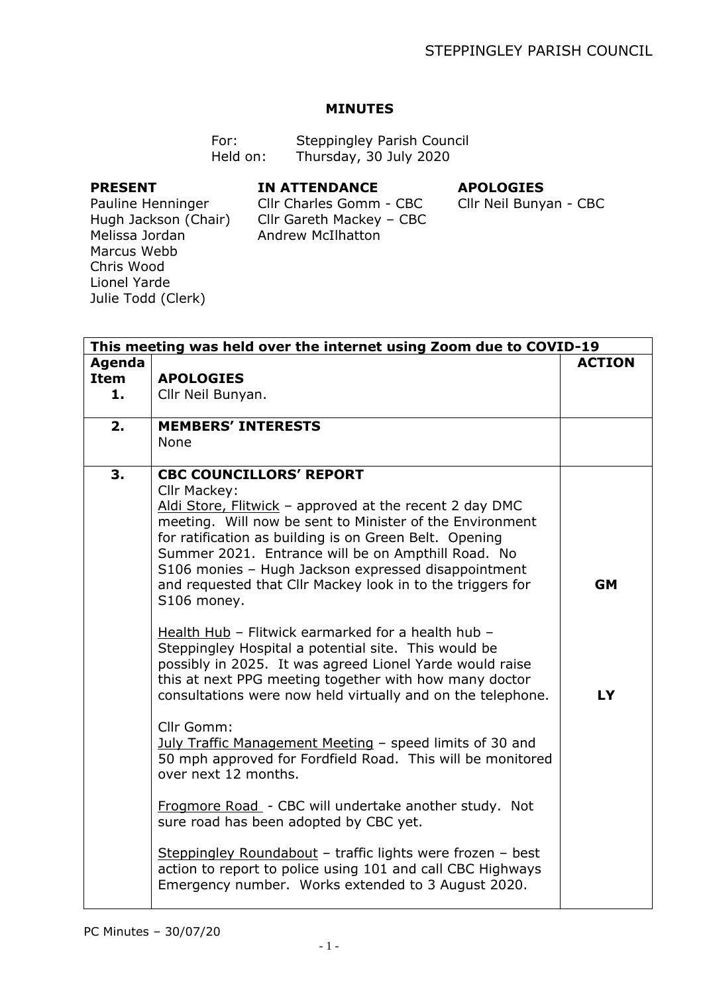## **MINUTES**

| For:     | <b>Steppingley Parish Council</b> |
|----------|-----------------------------------|
| Held on: | Thursday, 30 July 2020            |

## **PRESENT**

## **IN ATTENDANCE**

## **APOLOGIES**

Pauline Henninger Hugh Jackson (Chair) Melissa Jordan Marcus Webb Chris Wood Lionel Yarde Julie Todd (Clerk)

Cllr Charles Gomm - CBC Cllr Gareth Mackey – CBC Andrew McIlhatton

Cllr Neil Bunyan - CBC

| This meeting was held over the internet using Zoom due to COVID-19 |                                                                                                                                                                                                                                                                                                                                                                                                                                                                                                                                                                                                                                                                                                                                            |                        |
|--------------------------------------------------------------------|--------------------------------------------------------------------------------------------------------------------------------------------------------------------------------------------------------------------------------------------------------------------------------------------------------------------------------------------------------------------------------------------------------------------------------------------------------------------------------------------------------------------------------------------------------------------------------------------------------------------------------------------------------------------------------------------------------------------------------------------|------------------------|
| <b>Agenda</b><br>Item<br>1.                                        | <b>APOLOGIES</b><br>Cllr Neil Bunyan.                                                                                                                                                                                                                                                                                                                                                                                                                                                                                                                                                                                                                                                                                                      | <b>ACTION</b>          |
| 2.                                                                 | <b>MEMBERS' INTERESTS</b><br>None                                                                                                                                                                                                                                                                                                                                                                                                                                                                                                                                                                                                                                                                                                          |                        |
| 3.                                                                 | <b>CBC COUNCILLORS' REPORT</b><br>Cllr Mackey:<br>Aldi Store, Flitwick - approved at the recent 2 day DMC<br>meeting. Will now be sent to Minister of the Environment<br>for ratification as building is on Green Belt. Opening<br>Summer 2021. Entrance will be on Ampthill Road. No<br>S106 monies - Hugh Jackson expressed disappointment<br>and requested that Cllr Mackey look in to the triggers for<br>S106 money.<br>Health Hub - Flitwick earmarked for a health hub -<br>Steppingley Hospital a potential site. This would be<br>possibly in 2025. It was agreed Lionel Yarde would raise<br>this at next PPG meeting together with how many doctor<br>consultations were now held virtually and on the telephone.<br>Cllr Gomm: | <b>GM</b><br><b>LY</b> |
|                                                                    | July Traffic Management Meeting - speed limits of 30 and<br>50 mph approved for Fordfield Road. This will be monitored<br>over next 12 months.                                                                                                                                                                                                                                                                                                                                                                                                                                                                                                                                                                                             |                        |
|                                                                    | Frogmore Road - CBC will undertake another study. Not<br>sure road has been adopted by CBC yet.                                                                                                                                                                                                                                                                                                                                                                                                                                                                                                                                                                                                                                            |                        |
|                                                                    | Steppingley Roundabout - traffic lights were frozen - best<br>action to report to police using 101 and call CBC Highways<br>Emergency number. Works extended to 3 August 2020.                                                                                                                                                                                                                                                                                                                                                                                                                                                                                                                                                             |                        |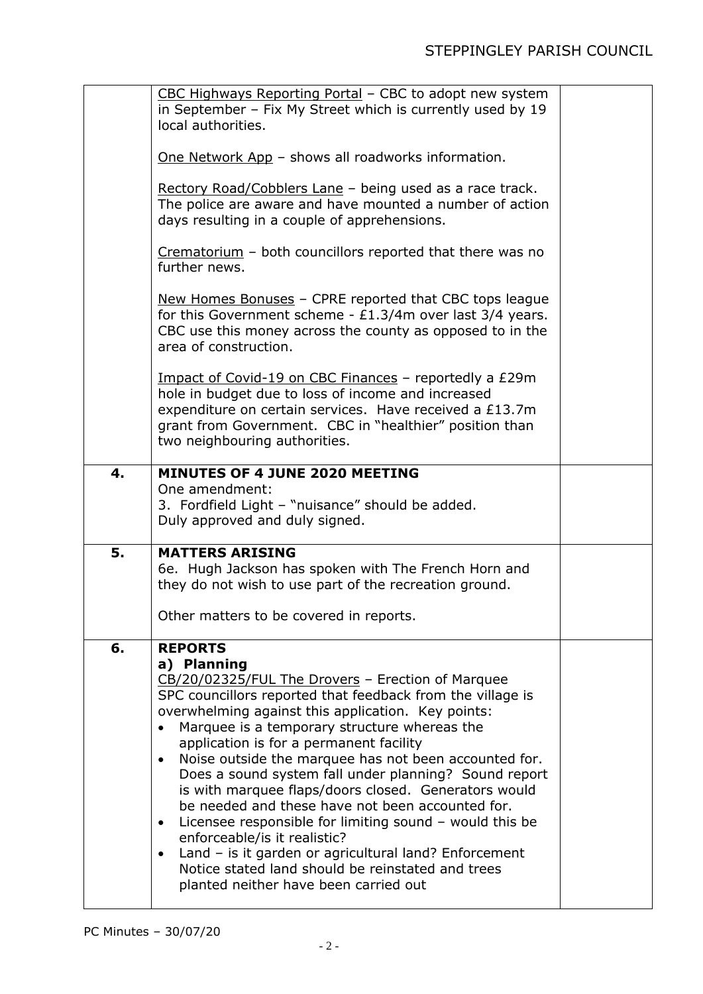|    | CBC Highways Reporting Portal - CBC to adopt new system<br>in September - Fix My Street which is currently used by 19<br>local authorities.<br>One Network App - shows all roadworks information.<br>Rectory Road/Cobblers Lane - being used as a race track.<br>The police are aware and have mounted a number of action<br>days resulting in a couple of apprehensions.<br>Crematorium - both councillors reported that there was no<br>further news.<br>New Homes Bonuses - CPRE reported that CBC tops league<br>for this Government scheme - $£1.3/4m$ over last 3/4 years.<br>CBC use this money across the county as opposed to in the<br>area of construction.<br>Impact of Covid-19 on CBC Finances - reportedly a £29m<br>hole in budget due to loss of income and increased<br>expenditure on certain services. Have received a £13.7m<br>grant from Government. CBC in "healthier" position than<br>two neighbouring authorities. |  |
|----|-----------------------------------------------------------------------------------------------------------------------------------------------------------------------------------------------------------------------------------------------------------------------------------------------------------------------------------------------------------------------------------------------------------------------------------------------------------------------------------------------------------------------------------------------------------------------------------------------------------------------------------------------------------------------------------------------------------------------------------------------------------------------------------------------------------------------------------------------------------------------------------------------------------------------------------------------|--|
| 4. | <b>MINUTES OF 4 JUNE 2020 MEETING</b>                                                                                                                                                                                                                                                                                                                                                                                                                                                                                                                                                                                                                                                                                                                                                                                                                                                                                                         |  |
|    | One amendment:<br>3. Fordfield Light - "nuisance" should be added.<br>Duly approved and duly signed.                                                                                                                                                                                                                                                                                                                                                                                                                                                                                                                                                                                                                                                                                                                                                                                                                                          |  |
| 5. | <b>MATTERS ARISING</b><br>6e. Hugh Jackson has spoken with The French Horn and<br>they do not wish to use part of the recreation ground.<br>Other matters to be covered in reports.                                                                                                                                                                                                                                                                                                                                                                                                                                                                                                                                                                                                                                                                                                                                                           |  |
| 6. | <b>REPORTS</b>                                                                                                                                                                                                                                                                                                                                                                                                                                                                                                                                                                                                                                                                                                                                                                                                                                                                                                                                |  |
|    | a) Planning<br>CB/20/02325/FUL The Drovers - Erection of Marquee<br>SPC councillors reported that feedback from the village is<br>overwhelming against this application. Key points:<br>Marquee is a temporary structure whereas the<br>application is for a permanent facility<br>Noise outside the marquee has not been accounted for.<br>$\bullet$<br>Does a sound system fall under planning? Sound report<br>is with marquee flaps/doors closed. Generators would<br>be needed and these have not been accounted for.<br>Licensee responsible for limiting sound - would this be<br>$\bullet$<br>enforceable/is it realistic?<br>Land - is it garden or agricultural land? Enforcement<br>Notice stated land should be reinstated and trees<br>planted neither have been carried out                                                                                                                                                     |  |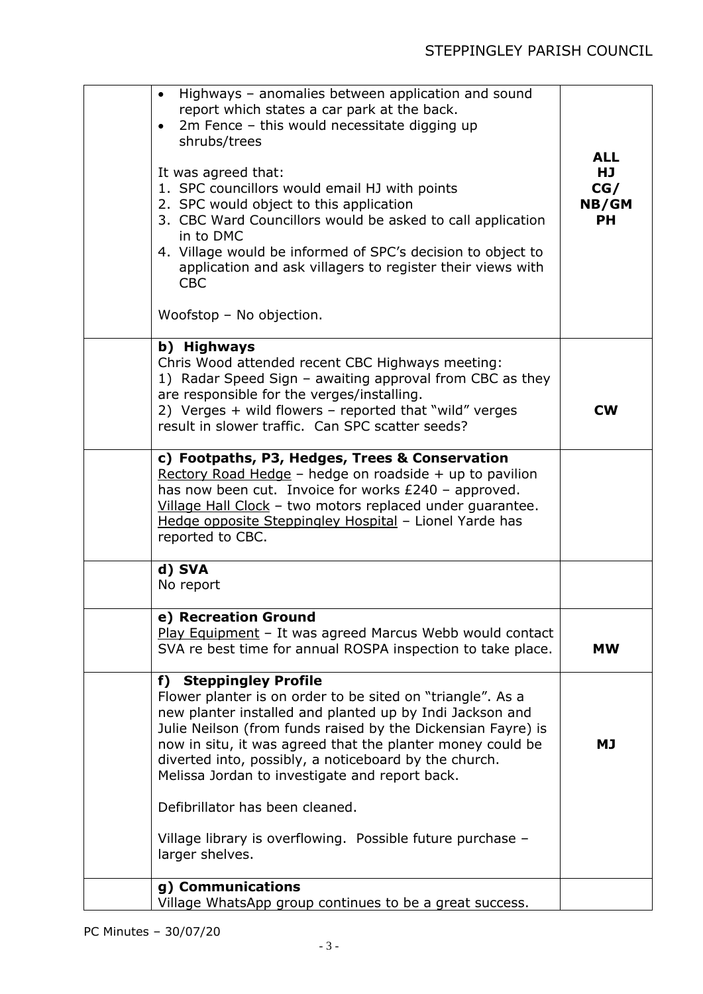| Highways - anomalies between application and sound<br>$\bullet$<br>report which states a car park at the back.<br>2m Fence - this would necessitate digging up<br>$\bullet$<br>shrubs/trees<br>It was agreed that:<br>1. SPC councillors would email HJ with points<br>2. SPC would object to this application<br>3. CBC Ward Councillors would be asked to call application<br>in to DMC<br>4. Village would be informed of SPC's decision to object to<br>application and ask villagers to register their views with<br><b>CBC</b><br>Woofstop - No objection. | <b>ALL</b><br>HJ.<br>CG/<br>NB/GM<br><b>PH</b> |
|------------------------------------------------------------------------------------------------------------------------------------------------------------------------------------------------------------------------------------------------------------------------------------------------------------------------------------------------------------------------------------------------------------------------------------------------------------------------------------------------------------------------------------------------------------------|------------------------------------------------|
| b) Highways<br>Chris Wood attended recent CBC Highways meeting:<br>1) Radar Speed Sign - awaiting approval from CBC as they<br>are responsible for the verges/installing.<br>2) Verges + wild flowers - reported that "wild" verges<br>result in slower traffic. Can SPC scatter seeds?                                                                                                                                                                                                                                                                          | <b>CW</b>                                      |
| c) Footpaths, P3, Hedges, Trees & Conservation<br>Rectory Road Hedge - hedge on roadside + up to pavilion<br>has now been cut. Invoice for works £240 - approved.<br>Village Hall Clock - two motors replaced under quarantee.<br>Hedge opposite Steppingley Hospital - Lionel Yarde has<br>reported to CBC.                                                                                                                                                                                                                                                     |                                                |
| d) SVA<br>No report                                                                                                                                                                                                                                                                                                                                                                                                                                                                                                                                              |                                                |
| e) Recreation Ground<br>Play Equipment - It was agreed Marcus Webb would contact<br>SVA re best time for annual ROSPA inspection to take place.                                                                                                                                                                                                                                                                                                                                                                                                                  | <b>MW</b>                                      |
| f) Steppingley Profile<br>Flower planter is on order to be sited on "triangle". As a<br>new planter installed and planted up by Indi Jackson and<br>Julie Neilson (from funds raised by the Dickensian Fayre) is<br>now in situ, it was agreed that the planter money could be<br>diverted into, possibly, a noticeboard by the church.<br>Melissa Jordan to investigate and report back.                                                                                                                                                                        | <b>MJ</b>                                      |
| Defibrillator has been cleaned.<br>Village library is overflowing. Possible future purchase -<br>larger shelves.<br>g) Communications                                                                                                                                                                                                                                                                                                                                                                                                                            |                                                |
| Village WhatsApp group continues to be a great success.                                                                                                                                                                                                                                                                                                                                                                                                                                                                                                          |                                                |